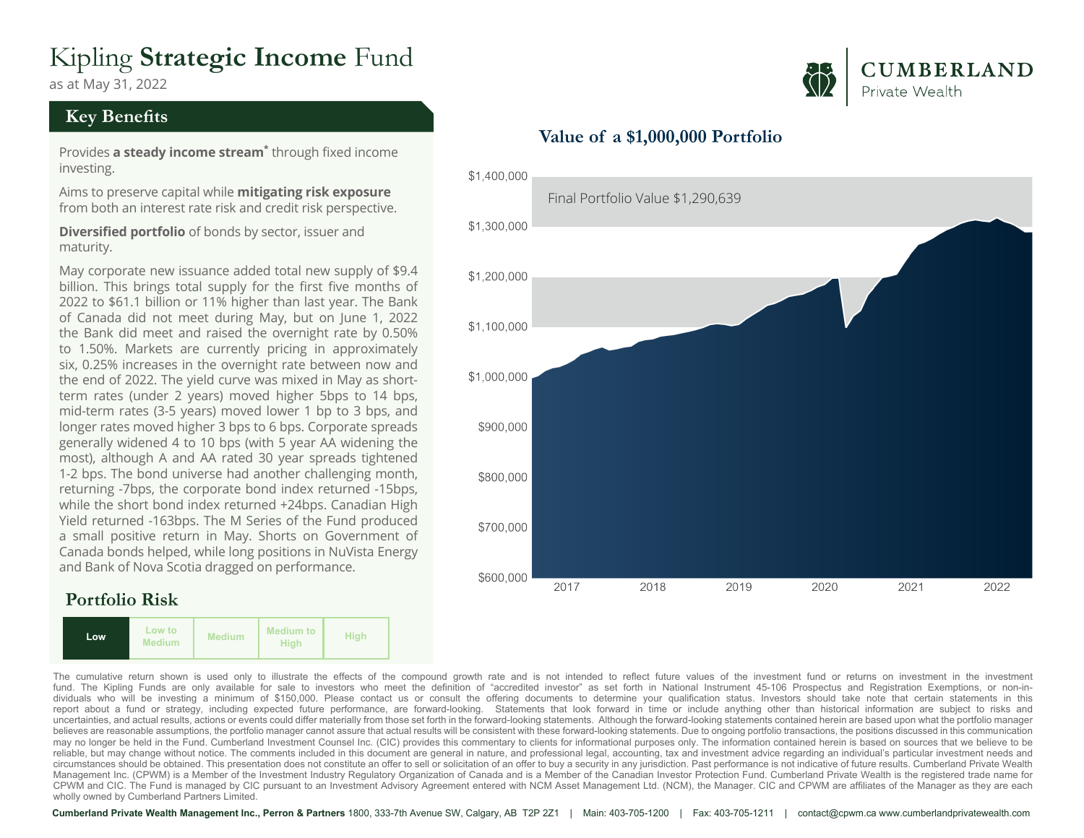# Kipling **Strategic Income** Fund

as at May 31, 2022

#### **Key Benefits**

Provides **a steady income stream\*** through fixed income investing.

Aims to preserve capital while **mitigating risk exposure** from both an interest rate risk and credit risk perspective.

**Diversified portfolio** of bonds by sector, issuer and maturity.

May corporate new issuance added total new supply of \$9.4 billion. This brings total supply for the first five months of 2022 to \$61.1 billion or 11% higher than last year. The Bank of Canada did not meet during May, but on June 1, 2022 the Bank did meet and raised the overnight rate by 0.50% to 1.50%. Markets are currently pricing in approximately six, 0.25% increases in the overnight rate between now and the end of 2022. The yield curve was mixed in May as shortterm rates (under 2 years) moved higher 5bps to 14 bps, mid-term rates (3-5 years) moved lower 1 bp to 3 bps, and longer rates moved higher 3 bps to 6 bps. Corporate spreads generally widened 4 to 10 bps (with 5 year AA widening the most), although A and AA rated 30 year spreads tightened 1-2 bps. The bond universe had another challenging month, returning -7bps, the corporate bond index returned -15bps, while the short bond index returned +24bps. Canadian High Yield returned -163bps. The M Series of the Fund produced a small positive return in May. Shorts on Government of Canada bonds helped, while long positions in NuVista Energy and Bank of Nova Scotia dragged on performance.

### **Portfolio Risk**



## **CUMBERLAND** Private Wealth



#### **Value of a \$1,000,000 Portfolio**

The cumulative return shown is used only to illustrate the effects of the compound growth rate and is not intended to reflect future values of the investment fund or returns on investment in the investment in the investmen dividuals who will be investing a minimum of \$150,000. Please contact us or consult the offering documents to determine your qualification status. Investors should take note that certain statements in this report about a fund or strategy, including expected future performance, are forward-looking. Statements that look forward in time or include anything other than historical information are subject to risks and uncertainties, and actual results, actions or events could differ materially from those set forth in the forward-looking statements. Although the forward-looking statements contained herein are based upon what the portfoli believes are reasonable assumptions, the portfolio manager cannot assure that actual results will be consistent with these forward-looking statements. Due to ongoing portfolio transactions, the positions discussed in this may no longer be held in the Fund. Cumberland Investment Counsel Inc. (CIC) provides this commentary to clients for informational purposes only. The information contained herein is based on sources that we believe to be reliable, but may change without notice. The comments included in this document are general in nature, and professional legal, accounting, tax and investment advice regarding an individual's particular investment needs and circumstances should be obtained. This presentation does not constitute an offer to sell or solicitation of an offer to buy a security in any jurisdiction. Past performance is not indicative of future results. Cumberland P Management Inc. (CPWM) is a Member of the Investment Industry Regulatory Organization of Canada and is a Member of the Canadian Investor Protection Fund. Cumberland Private Wealth is the registered trade name for CPWM and CIC. The Fund is managed by CIC pursuant to an Investment Advisory Agreement entered with NCM Asset Management Ltd. (NCM), the Manager. CIC and CPWM are affiliates of the Manager as they are each wholly owned by Cumberland Partners Limited.

**Cumberland Private Wealth Management Inc., Perron & Partners** 1800, 333-7th Avenue SW, Calgary, AB T2P 2Z1 | Main: 403-705-1200 | Fax: 403-705-1211 | contact@cpwm.ca www.cumberlandprivatewealth.com